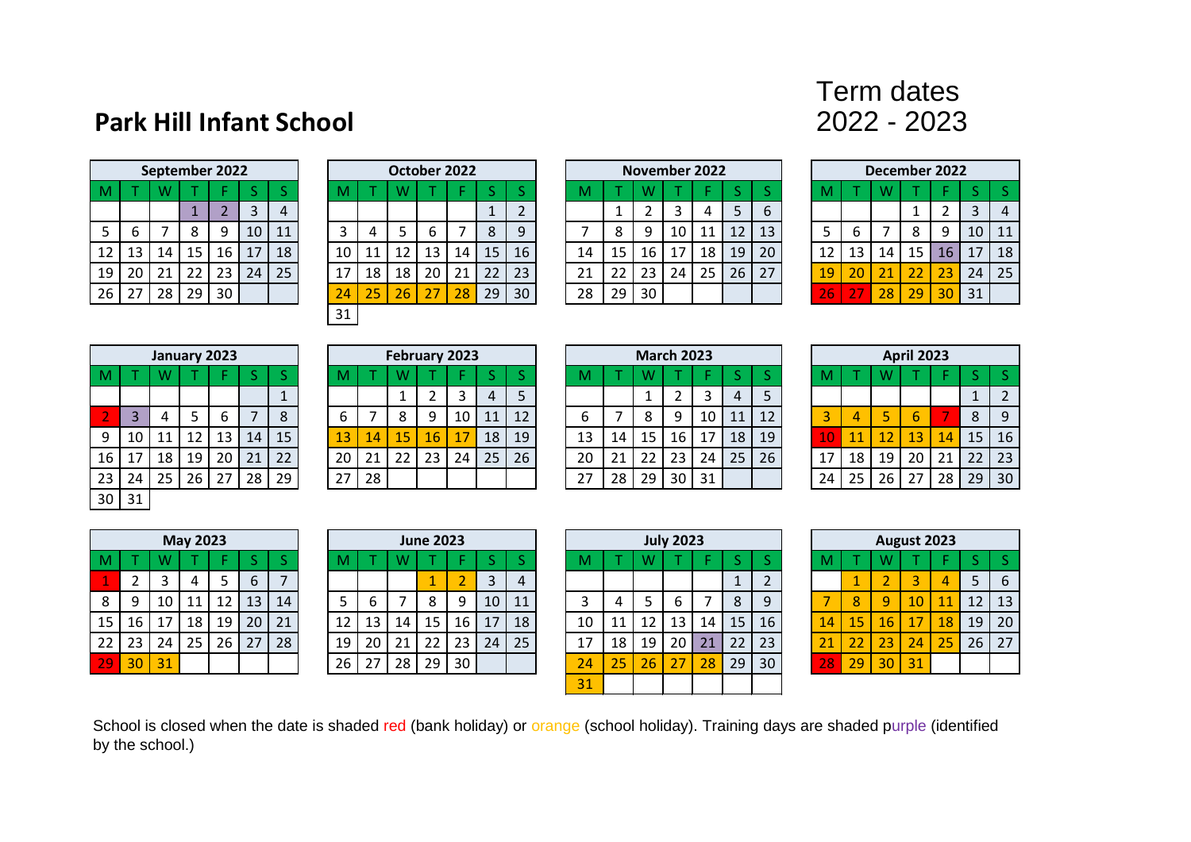## **Park Hill Infant School**

## Term dates<br>2022 - 2023

|    |    |    | September 2022 |                |    |    |
|----|----|----|----------------|----------------|----|----|
| M  |    | W  |                |                | ς  | ς  |
|    |    |    | 1              | $\overline{2}$ | 3  |    |
| 5  | 6  |    | 8              | 9              | 10 | 11 |
| 12 | 13 | 14 | 15             | 16             | 17 | 18 |
| 19 | 20 | 21 | 22             | 23             | 24 | 25 |
| 26 | 27 | 28 | 29             | 30             |    |    |

|      |    |    |     | September 2022 |           |    |  |    |    | October 2022 |    |    |    |    |    |         |    | <b>November 2022</b> |    |    |    |     |    |    | December 2022 |    |                 |    |
|------|----|----|-----|----------------|-----------|----|--|----|----|--------------|----|----|----|----|----|---------|----|----------------------|----|----|----|-----|----|----|---------------|----|-----------------|----|
|      |    |    |     |                |           |    |  |    |    |              |    |    |    |    |    |         |    |                      |    |    |    |     |    |    |               |    |                 |    |
|      |    |    |     |                | 3         | 4  |  |    |    |              |    |    | ┻  | ▵  |    |         |    |                      |    | 5  | b  |     |    |    |               |    |                 | 4  |
| 5    | ь  |    |     | 9              | 10        | 11 |  |    |    |              | b  |    | 8  | 9  |    | $\circ$ |    | 10                   |    | 12 | 13 |     | b  |    |               | 9  | 10 <sup>°</sup> | 11 |
| 12 I | 13 | 14 | 15  | 16             | <b>17</b> | 18 |  | 10 | 11 | 12           | 13 | 14 | 15 | 16 | 14 | 15      | 16 | 17                   | 18 | 19 | 20 | 12  | 13 | 14 | 15            | 16 | 17              | 18 |
| 19   | 20 | 21 | -22 | 23             | 24        | 25 |  |    | 18 | 18           | 20 | 21 | 22 | 23 | 21 | 22      | 23 | 24                   | 25 | 26 | 27 | 19  | 20 | 21 | 22            | 23 | 24              | 25 |
| 26   | 27 | 28 | 29  | 30             |           |    |  | 24 | 25 | 26           | 27 | 28 | 29 | 30 | 28 | 29      | 30 |                      |    |    |    | 26' | 27 | 28 | 29            | 30 | 31              |    |
|      |    |    |     |                |           |    |  | 31 |    |              |    |    |    |    |    |         |    |                      |    |    |    |     |    |    |               |    |                 |    |

|    | November 2022 |    |    |    |    |    |  |  |  |  |  |  |  |  |  |
|----|---------------|----|----|----|----|----|--|--|--|--|--|--|--|--|--|
|    |               |    |    |    |    |    |  |  |  |  |  |  |  |  |  |
| M  |               | W  |    |    | S  | S  |  |  |  |  |  |  |  |  |  |
|    | 1             | 2  | 3  | 4  | 5  | 6  |  |  |  |  |  |  |  |  |  |
|    | 8             | 9  | 10 | 11 | 12 | 13 |  |  |  |  |  |  |  |  |  |
| 14 | 15            | 16 | 17 | 18 | 19 | 20 |  |  |  |  |  |  |  |  |  |
| 21 | 22            | 23 | 24 | 25 | 26 | 27 |  |  |  |  |  |  |  |  |  |
| 28 | 29            | 30 |    |    |    |    |  |  |  |  |  |  |  |  |  |

|    |    |    | December 2022 |    |    |    |
|----|----|----|---------------|----|----|----|
| M  |    | W  |               |    | S  | S  |
|    |    |    |               | 2  | 3  |    |
| 5  | 6  |    | 8             | 9  | 10 | 11 |
| 12 | 13 | 14 | 15            | 16 | 17 | 18 |
| 19 | 20 | 21 | 22            | 23 | 24 | 25 |
| 26 | 27 | 28 | 29            | 30 | 31 |    |

|    |                |    | January 2023 |    |    |    |
|----|----------------|----|--------------|----|----|----|
| M  |                | W  |              |    | S  | S  |
|    |                |    |              |    |    | 1  |
| 2  | $\overline{3}$ | 4  | 5            | 6  |    | 8  |
| 9  | 10             | 11 | 12           | 13 | 14 | 15 |
| 16 | 17             | 18 | 19           | 20 | 21 | 22 |
| 23 | 24             | 25 | 26           | 27 | 28 | 29 |
| 30 | 31             |    |              |    |    |    |

|    | January 2023 |    |    |    |    |    |    |    | February 2023 |     |    |    |    |    |    |    | <b>March 2023</b> |    |    |    |    |    |    | <b>April 2023</b> |    |     |    |
|----|--------------|----|----|----|----|----|----|----|---------------|-----|----|----|----|----|----|----|-------------------|----|----|----|----|----|----|-------------------|----|-----|----|
|    |              |    |    |    |    |    |    |    |               |     |    |    |    |    |    |    |                   |    |    |    |    |    |    |                   |    |     |    |
|    |              |    |    |    |    |    |    |    |               |     |    |    |    |    |    |    |                   |    | 4  |    |    |    |    |                   |    |     |    |
|    |              |    |    | b  |    |    |    |    |               | a   |    | 11 | 12 | b  |    |    |                   | 10 | 11 | 12 |    | 4  |    |                   |    | 8   | 9  |
|    | $9 \mid 10$  | 11 | 12 | 13 | 14 | 15 | 13 | 14 | 15            | 167 | ⇁  | 18 | 19 | 13 | 14 | 15 | 16                | 17 | 18 | 19 |    |    | 12 | 13                | 14 | 15  | 16 |
|    | 16   17      | 18 | 19 | 20 | 21 | 22 | 20 | 21 | 22            | 23  | 24 | 25 | 26 | 20 | 21 | 22 | 23                | 24 | 25 | 26 |    | 18 | 19 | 20                | 21 | 22. | 23 |
| 23 | 24           | 25 | 26 | 27 | 28 | 29 | 27 | 28 |               |     |    |    |    | 27 | 28 | 29 | 30                | 31 |    |    | 24 | 25 | 26 | 27                | 28 | 29  | 30 |

|    | W  |    | F  | S                 |                |  |  |  |  |  |  |  |  |
|----|----|----|----|-------------------|----------------|--|--|--|--|--|--|--|--|
|    | 1  | 2  | 3  | 4                 |                |  |  |  |  |  |  |  |  |
|    | 8  | 9  | 10 | 11                |                |  |  |  |  |  |  |  |  |
| 14 | 15 | 16 | 17 | 18                |                |  |  |  |  |  |  |  |  |
| 21 | 22 | 23 | 24 | 25                | $\overline{2}$ |  |  |  |  |  |  |  |  |
| 28 | 29 | 30 | 31 |                   |                |  |  |  |  |  |  |  |  |
|    |    |    |    | <b>March 2023</b> |                |  |  |  |  |  |  |  |  |

|    | <b>March 2023</b> |    |    |    |     |    |    | <b>April 2023</b> |    |    |               |
|----|-------------------|----|----|----|-----|----|----|-------------------|----|----|---------------|
| W  |                   | F  | S  | S  | M   |    | w  |                   | F  | S  |               |
| 1  | 2                 | 3  |    | 5  |     |    |    |                   |    |    | $\mathcal{P}$ |
| 8  | 9                 | 10 | 11 | 12 | 3   | Δ  | 5  | 6                 |    | 8  | 9             |
| 15 | 16                | 17 | 18 | 19 | 1 ( | 11 | 12 | 13                | 14 | 15 | 16            |
| 22 | 23                | 24 | 25 | 26 | 1   | 18 | 19 | 20                | 21 | 22 | 23            |
| 29 | 30<br>31          |    | 24 | 25 | 26  | 27 | 28 | 29                |    |    |               |

|    |    |    | <b>May 2023</b> |    |    |    |
|----|----|----|-----------------|----|----|----|
| M  |    | W  |                 |    | S  | S  |
| 1  | 2  | 3  | 4               | 5  | 6  |    |
| 8  | ٩  | 10 | 11              | 12 | 13 | 14 |
| 15 | 16 | 17 | 18              | 19 | 20 | 21 |
| 22 | 23 | 24 | 25              | 26 | 27 | 28 |
|    |    | 31 |                 |    |    |    |

|                 |       |    | May 2023 |    |                 |    |      |    |    | <b>June 2023</b> |                 |    |    |    |                 |    | <b>July 2023</b> |    |    |    |    |    | August 2023 |    |                 |    |                   |
|-----------------|-------|----|----------|----|-----------------|----|------|----|----|------------------|-----------------|----|----|----|-----------------|----|------------------|----|----|----|----|----|-------------|----|-----------------|----|-------------------|
|                 |       |    |          |    |                 |    | IVI. |    |    |                  |                 |    |    | м  |                 |    |                  |    |    |    |    |    |             |    |                 |    |                   |
|                 |       |    |          |    | b               |    |      |    |    |                  |                 | 3  | 4  |    |                 |    |                  |    |    |    |    |    |             |    |                 |    |                   |
| 8 <sup>1</sup>  |       | 10 |          | 12 | 13              | 14 |      |    |    |                  |                 | 10 | 11 |    |                 |    |                  |    | 8  |    |    | 8  | $\Omega$    | 10 |                 | 12 | 1:                |
| 15 <sup>1</sup> | 16    | 17 | 18       | 19 | 20 <sub>1</sub> | 21 | 12   | 13 | 14 | 15               | 16              | 17 | 18 | 10 |                 | 12 | 13               | 14 | 15 | 16 | 14 | 15 | 46'         |    | 18 <sup>1</sup> | 19 | 2 <sub>0</sub>    |
|                 | 22 23 | 24 | 25       | 26 | 27              | 28 | 19   | 20 | 21 | 22               | 23              | 24 | 25 | 17 | 18 <sup>1</sup> | 19 | 20               | 21 | 22 | 23 | 21 |    | 23          | 24 | 25              | 26 | $2^{\frac{1}{2}}$ |
| 29              | 30    | 31 |          |    |                 |    | 26   | 27 | 28 | 29               | 30 <sub>1</sub> |    |    | 24 | 25              | 26 | 27               | 28 | 29 | 30 | 28 | 29 | 30          | 31 |                 |    |                   |

|    | <b>June 2023</b> |    |        |    |    |    |    | <b>July 2023</b> |    |    |                |
|----|------------------|----|--------|----|----|----|----|------------------|----|----|----------------|
| N  |                  | F  | S      | S  | M  |    | W  |                  | F  | S  | S              |
|    | 1                | 2  | 3<br>4 |    |    |    |    |                  |    | 1  | $\overline{2}$ |
|    | 8                | 9  | 10     | 11 | 3  | 4  | 5  | 6                |    | 8  | 9              |
| .4 | 15               | 16 | 17     | 18 | 10 | 11 | 12 | 13               | 14 | 15 | 16             |
| !1 | 22               | 23 | 24     | 25 | 17 | 18 | 19 | 20               | 21 | 22 | 23             |
| '8 | 29               | 30 |        |    | 24 | 25 | 26 | 27               | 28 | 29 | 30             |
|    |                  |    |        |    | 31 |    |    |                  |    |    |                |

|    |    |    | <b>May 2023</b> |    |    |    |    |    |    | <b>June 2023</b> |    |                |    |                 |    |    | <b>July 2023</b> |    |    |    |    |    | August 2023     |    |    |    |             |
|----|----|----|-----------------|----|----|----|----|----|----|------------------|----|----------------|----|-----------------|----|----|------------------|----|----|----|----|----|-----------------|----|----|----|-------------|
|    |    |    |                 |    |    |    |    |    |    |                  |    |                |    | M               |    |    |                  |    |    |    |    |    | W               |    |    |    |             |
|    |    |    | 4               |    | b  |    |    |    |    |                  |    |                | 4  |                 |    |    |                  |    |    |    |    |    |                 |    |    |    | $\mathbf b$ |
| 8  |    | 10 |                 | 12 | 13 | 14 |    | ь  |    | 8                | Q  | 10             | 11 |                 | 4  |    | b.               |    | 8  | 9  |    | 8  | q               | 10 |    | 12 | 13          |
| 15 | 16 | 17 | 18 l            | 19 | 20 | 21 | 12 | 13 | 14 | 15               | 16 | $\overline{7}$ | 18 | 10              | 11 | 12 | 13               | 14 | 15 | 16 | 14 | 15 | 16              | 17 | 18 | 19 | 20          |
| 22 | 23 | 24 | 25              | 26 | 27 | 28 | 19 | 20 | 21 | 22               | 23 | 24             | 25 | 17              | 18 | 19 | 20               | 21 | 22 | 23 | 21 | 22 | $\overline{23}$ | 24 | 25 | 26 | 27          |
| 29 | 30 | 31 |                 |    |    |    | 26 | 27 | 28 | 29               | 30 |                |    | $\overline{24}$ | 25 | 26 | 27               | 28 | 29 | 30 | 28 | 29 | 30              | 31 |    |    |             |

School is closed when the date is shaded red (bank holiday) or orange (school holiday). Training days are shaded purple (identified by the school.)